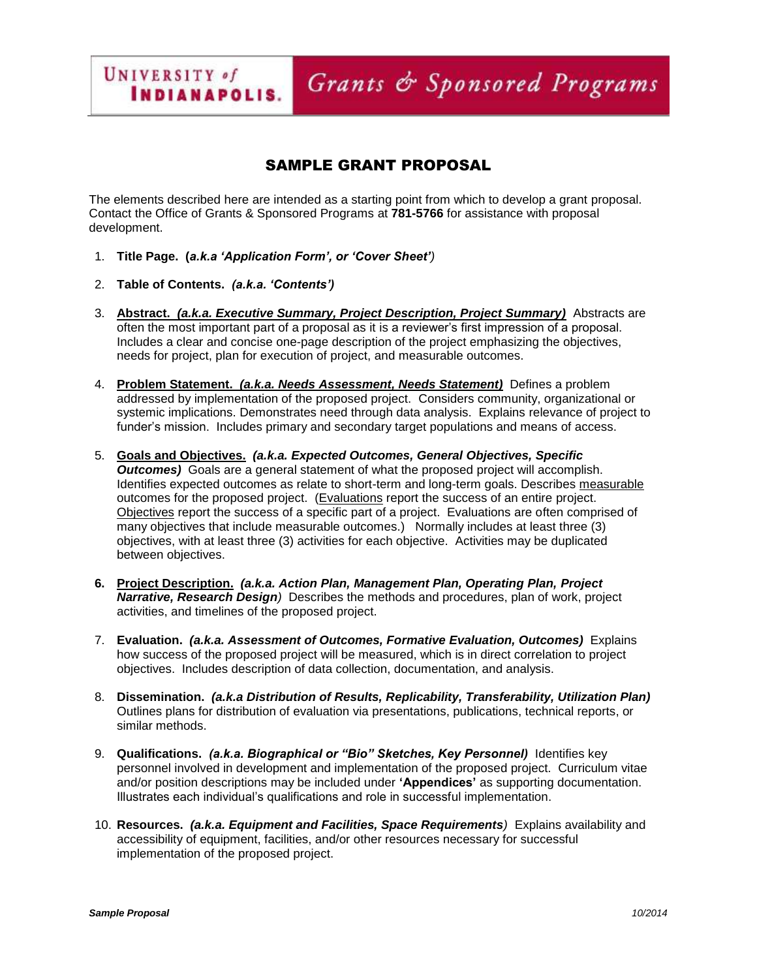SAMPLE GRANT PROPOSAL

Grants & Sponsored Programs

The elements described here are intended as a starting point from which to develop a grant proposal. Contact the Office of Grants & Sponsored Programs at **781-5766** for assistance with proposal development.

- 1. **Title Page. (***a.k.a 'Application Form', or 'Cover Sheet')*
- 2. **Table of Contents.** *(a.k.a. 'Contents')*

UNIVERSITY of

**INDIANAPOLIS.** 

- 3. **Abstract.** *(a.k.a. Executive Summary, Project Description, Project Summary)* Abstracts are often the most important part of a proposal as it is a reviewer's first impression of a proposal. Includes a clear and concise one-page description of the project emphasizing the objectives, needs for project, plan for execution of project, and measurable outcomes.
- 4. **Problem Statement.** *(a.k.a. Needs Assessment, Needs Statement)* Defines a problem addressed by implementation of the proposed project. Considers community, organizational or systemic implications. Demonstrates need through data analysis. Explains relevance of project to funder's mission. Includes primary and secondary target populations and means of access.
- 5. **Goals and Objectives.** *(a.k.a. Expected Outcomes, General Objectives, Specific Outcomes* Goals are a general statement of what the proposed project will accomplish. Identifies expected outcomes as relate to short-term and long-term goals. Describes measurable outcomes for the proposed project. (Evaluations report the success of an entire project. Objectives report the success of a specific part of a project. Evaluations are often comprised of many objectives that include measurable outcomes.) Normally includes at least three (3) objectives, with at least three (3) activities for each objective. Activities may be duplicated between objectives.
- **6. Project Description.** *(a.k.a. Action Plan, Management Plan, Operating Plan, Project Narrative, Research Design)* Describes the methods and procedures, plan of work, project activities, and timelines of the proposed project.
- 7. **Evaluation.** *(a.k.a. Assessment of Outcomes, Formative Evaluation, Outcomes)* Explains how success of the proposed project will be measured, which is in direct correlation to project objectives. Includes description of data collection, documentation, and analysis.
- 8. **Dissemination.** *(a.k.a Distribution of Results, Replicability, Transferability, Utilization Plan)* Outlines plans for distribution of evaluation via presentations, publications, technical reports, or similar methods.
- 9. **Qualifications.** *(a.k.a. Biographical or "Bio" Sketches, Key Personnel)* Identifies key personnel involved in development and implementation of the proposed project. Curriculum vitae and/or position descriptions may be included under **'Appendices'** as supporting documentation. Illustrates each individual's qualifications and role in successful implementation.
- 10. **Resources.** *(a.k.a. Equipment and Facilities, Space Requirements)* Explains availability and accessibility of equipment, facilities, and/or other resources necessary for successful implementation of the proposed project.